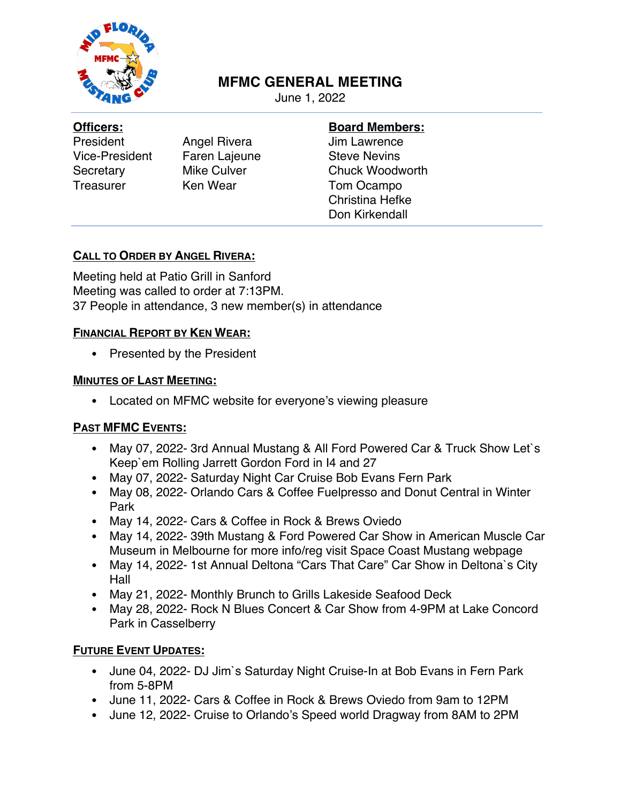

# **MFMC GENERAL MEETING**

June 1, 2022

#### **Officers:**

President Angel Rivera Vice-President Faren Lajeune Secretary Mike Culver Treasurer Ken Wear

## **Board Members:**

Jim Lawrence Steve Nevins Chuck Woodworth Tom Ocampo Christina Hefke Don Kirkendall

### **CALL TO ORDER BY ANGEL RIVERA:**

Meeting held at Patio Grill in Sanford Meeting was called to order at 7:13PM. 37 People in attendance, 3 new member(s) in attendance

### **FINANCIAL REPORT BY KEN WEAR:**

• Presented by the President

### **MINUTES OF LAST MEETING:**

• Located on MFMC website for everyone's viewing pleasure

## **PAST MFMC EVENTS:**

- May 07, 2022- 3rd Annual Mustang & All Ford Powered Car & Truck Show Let`s Keep`em Rolling Jarrett Gordon Ford in I4 and 27
- May 07, 2022- Saturday Night Car Cruise Bob Evans Fern Park
- May 08, 2022- Orlando Cars & Coffee Fuelpresso and Donut Central in Winter Park
- May 14, 2022- Cars & Coffee in Rock & Brews Oviedo
- May 14, 2022- 39th Mustang & Ford Powered Car Show in American Muscle Car Museum in Melbourne for more info/reg visit Space Coast Mustang webpage
- May 14, 2022- 1st Annual Deltona "Cars That Care" Car Show in Deltona`s City Hall
- May 21, 2022- Monthly Brunch to Grills Lakeside Seafood Deck
- May 28, 2022- Rock N Blues Concert & Car Show from 4-9PM at Lake Concord Park in Casselberry

## **FUTURE EVENT UPDATES:**

- June 04, 2022- DJ Jim`s Saturday Night Cruise-In at Bob Evans in Fern Park from 5-8PM
- June 11, 2022- Cars & Coffee in Rock & Brews Oviedo from 9am to 12PM
- June 12, 2022- Cruise to Orlando's Speed world Dragway from 8AM to 2PM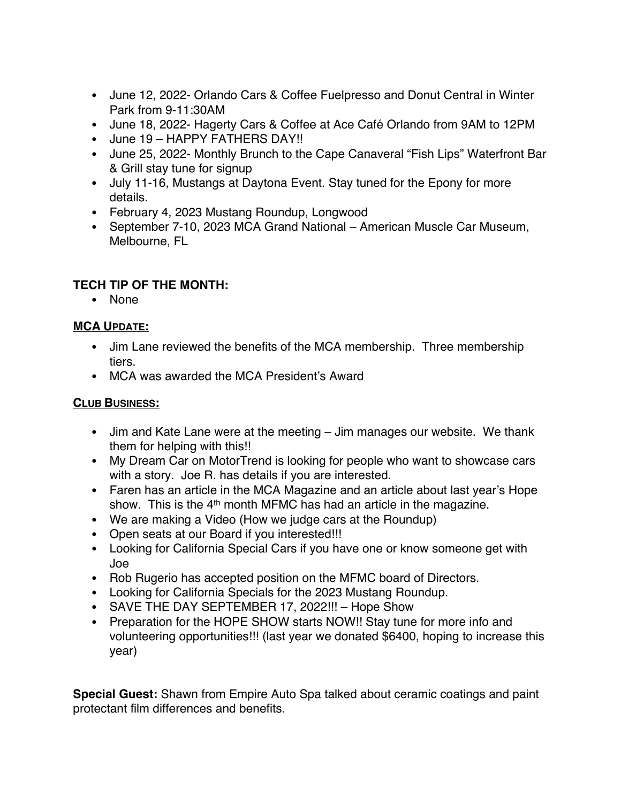- June 12, 2022- Orlando Cars & Coffee Fuelpresso and Donut Central in Winter Park from 9-11:30AM
- June 18, 2022- Hagerty Cars & Coffee at Ace Café Orlando from 9AM to 12PM
- June 19 HAPPY FATHERS DAY!!
- June 25, 2022- Monthly Brunch to the Cape Canaveral "Fish Lips" Waterfront Bar & Grill stay tune for signup
- July 11-16, Mustangs at Daytona Event. Stay tuned for the Epony for more details.
- February 4, 2023 Mustang Roundup, Longwood
- September 7-10, 2023 MCA Grand National American Muscle Car Museum, Melbourne, FL

# **TECH TIP OF THE MONTH:**

• None

## **MCA UPDATE:**

- Jim Lane reviewed the benefits of the MCA membership. Three membership tiers.
- MCA was awarded the MCA President's Award

## **CLUB BUSINESS:**

- Jim and Kate Lane were at the meeting Jim manages our website. We thank them for helping with this!!
- My Dream Car on MotorTrend is looking for people who want to showcase cars with a story. Joe R. has details if you are interested.
- Faren has an article in the MCA Magazine and an article about last year's Hope show. This is the  $4<sup>th</sup>$  month MFMC has had an article in the magazine.
- We are making a Video (How we judge cars at the Roundup)
- Open seats at our Board if you interested!!!
- Looking for California Special Cars if you have one or know someone get with Joe
- Rob Rugerio has accepted position on the MFMC board of Directors.
- Looking for California Specials for the 2023 Mustang Roundup.
- SAVE THE DAY SEPTEMBER 17, 2022!!! Hope Show
- Preparation for the HOPE SHOW starts NOW!! Stay tune for more info and volunteering opportunities!!! (last year we donated \$6400, hoping to increase this year)

**Special Guest:** Shawn from Empire Auto Spa talked about ceramic coatings and paint protectant film differences and benefits.